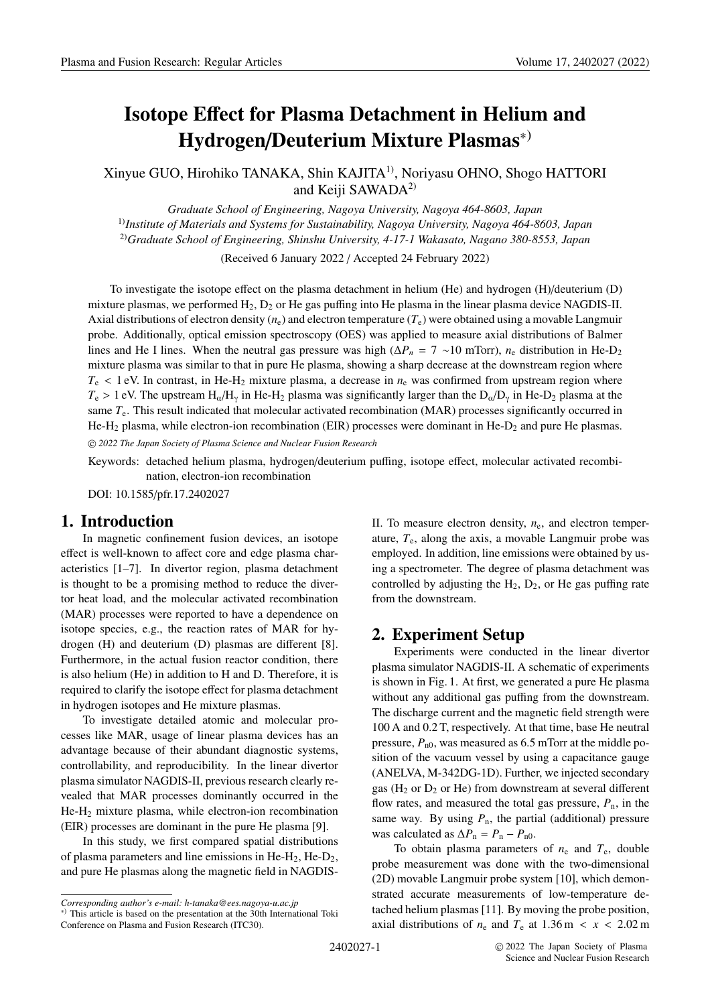# **Isotope E**ff**ect for Plasma Detachment in Helium and Hydrogen**/**Deuterium Mixture Plasmas**∗)

Xinyue GUO, Hirohiko TANAKA, Shin KAJITA1), Noriyasu OHNO, Shogo HATTORI and Keiji SAWADA<sup>2)</sup>

*Graduate School of Engineering, Nagoya University, Nagoya 464-8603, Japan* 1)*Institute of Materials and Systems for Sustainability, Nagoya University, Nagoya 464-8603, Japan* 2)*Graduate School of Engineering, Shinshu University, 4-17-1 Wakasato, Nagano 380-8553, Japan*

(Received 6 January 2022 / Accepted 24 February 2022)

To investigate the isotope effect on the plasma detachment in helium (He) and hydrogen (H)/deuterium (D) mixture plasmas, we performed  $H_2$ ,  $D_2$  or He gas puffing into He plasma in the linear plasma device NAGDIS-II. Axial distributions of electron density  $(n_e)$  and electron temperature  $(T_e)$  were obtained using a movable Langmuir probe. Additionally, optical emission spectroscopy (OES) was applied to measure axial distributions of Balmer lines and He I lines. When the neutral gas pressure was high ( $\Delta P_n = 7 \sim 10$  mTorr),  $n_e$  distribution in He-D<sub>2</sub> mixture plasma was similar to that in pure He plasma, showing a sharp decrease at the downstream region where  $T_e$  < 1 eV. In contrast, in He-H<sub>2</sub> mixture plasma, a decrease in  $n_e$  was confirmed from upstream region where  $T_e > 1$  eV. The upstream  $H_{\alpha}/H_{\gamma}$  in He-H<sub>2</sub> plasma was significantly larger than the D<sub>α</sub>/D<sub>γ</sub> in He-D<sub>2</sub> plasma at the same *T*e. This result indicated that molecular activated recombination (MAR) processes significantly occurred in He-H<sub>2</sub> plasma, while electron-ion recombination (EIR) processes were dominant in He- $D_2$  and pure He plasmas. c *2022 The Japan Society of Plasma Science and Nuclear Fusion Research*

Keywords: detached helium plasma, hydrogen/deuterium puffing, isotope effect, molecular activated recombination, electron-ion recombination

DOI: 10.1585/pfr.17.2402027

# **1. Introduction**

In magnetic confinement fusion devices, an isotope effect is well-known to affect core and edge plasma characteristics [1–7]. In divertor region, plasma detachment is thought to be a promising method to reduce the divertor heat load, and the molecular activated recombination (MAR) processes were reported to have a dependence on isotope species, e.g., the reaction rates of MAR for hydrogen (H) and deuterium (D) plasmas are different [8]. Furthermore, in the actual fusion reactor condition, there is also helium (He) in addition to H and D. Therefore, it is required to clarify the isotope effect for plasma detachment in hydrogen isotopes and He mixture plasmas.

To investigate detailed atomic and molecular processes like MAR, usage of linear plasma devices has an advantage because of their abundant diagnostic systems, controllability, and reproducibility. In the linear divertor plasma simulator NAGDIS-II, previous research clearly revealed that MAR processes dominantly occurred in the He-H2 mixture plasma, while electron-ion recombination (EIR) processes are dominant in the pure He plasma [9].

In this study, we first compared spatial distributions of plasma parameters and line emissions in He-H<sub>2</sub>, He-D<sub>2</sub>, and pure He plasmas along the magnetic field in NAGDIS-

II. To measure electron density,  $n_e$ , and electron temperature, *T*e, along the axis, a movable Langmuir probe was employed. In addition, line emissions were obtained by using a spectrometer. The degree of plasma detachment was controlled by adjusting the  $H_2$ ,  $D_2$ , or He gas puffing rate from the downstream.

# **2. Experiment Setup**

Experiments were conducted in the linear divertor plasma simulator NAGDIS-II. A schematic of experiments is shown in Fig. 1. At first, we generated a pure He plasma without any additional gas puffing from the downstream. The discharge current and the magnetic field strength were 100 A and 0.2 T, respectively. At that time, base He neutral pressure,  $P_{n0}$ , was measured as 6.5 mTorr at the middle position of the vacuum vessel by using a capacitance gauge (ANELVA, M-342DG-1D). Further, we injected secondary gas ( $H_2$  or  $D_2$  or He) from downstream at several different flow rates, and measured the total gas pressure,  $P_n$ , in the same way. By using  $P_n$ , the partial (additional) pressure was calculated as  $\Delta P_n = P_n - P_{n0}$ .

To obtain plasma parameters of  $n_e$  and  $T_e$ , double probe measurement was done with the two-dimensional (2D) movable Langmuir probe system [10], which demonstrated accurate measurements of low-temperature detached helium plasmas [11]. By moving the probe position, axial distributions of  $n_e$  and  $T_e$  at  $1.36$  m <  $x$  <  $2.02$  m

*Corresponding author's e-mail: h-tanaka@ees.nagoya-u.ac.jp*

<sup>∗</sup>) This article is based on the presentation at the 30th International Toki Conference on Plasma and Fusion Research (ITC30).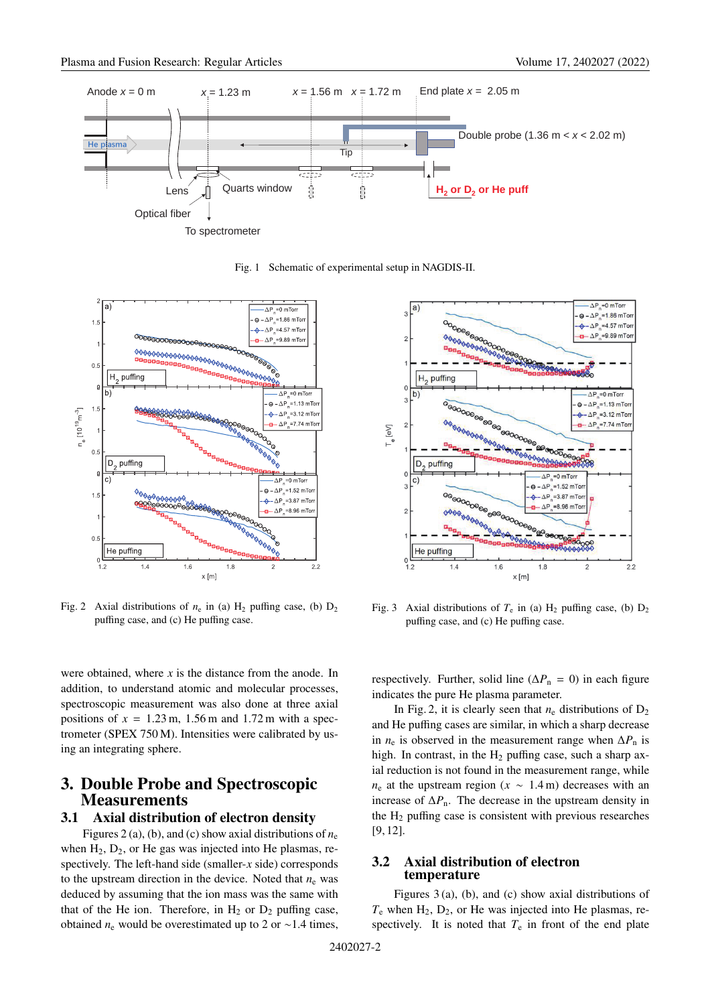

Fig. 1 Schematic of experimental setup in NAGDIS-II.



Fig. 2 Axial distributions of  $n_e$  in (a) H<sub>2</sub> puffing case, (b)  $D_2$ puffing case, and (c) He puffing case.

were obtained, where *x* is the distance from the anode. In addition, to understand atomic and molecular processes, spectroscopic measurement was also done at three axial positions of  $x = 1.23$  m,  $1.56$  m and  $1.72$  m with a spectrometer (SPEX 750 M). Intensities were calibrated by using an integrating sphere.

# **3. Double Probe and Spectroscopic Measurements**

## **3.1 Axial distribution of electron density**

Figures 2 (a), (b), and (c) show axial distributions of  $n_e$ when  $H_2$ ,  $D_2$ , or He gas was injected into He plasmas, respectively. The left-hand side (smaller-*x* side) corresponds to the upstream direction in the device. Noted that  $n_e$  was deduced by assuming that the ion mass was the same with that of the He ion. Therefore, in  $H_2$  or  $D_2$  puffing case, obtained  $n_e$  would be overestimated up to 2 or ∼1.4 times,



Fig. 3 Axial distributions of  $T_e$  in (a)  $H_2$  puffing case, (b)  $D_2$ puffing case, and (c) He puffing case.

respectively. Further, solid line ( $\Delta P_n = 0$ ) in each figure indicates the pure He plasma parameter.

In Fig. 2, it is clearly seen that  $n_e$  distributions of  $D_2$ and He puffing cases are similar, in which a sharp decrease in  $n_e$  is observed in the measurement range when  $\Delta P_n$  is high. In contrast, in the  $H_2$  puffing case, such a sharp axial reduction is not found in the measurement range, while  $n_e$  at the upstream region ( $x \sim 1.4$  m) decreases with an increase of  $\Delta P_n$ . The decrease in the upstream density in the  $H_2$  puffing case is consistent with previous researches [9, 12].

#### **3.2 Axial distribution of electron temperature**

Figures 3 (a), (b), and (c) show axial distributions of  $T_e$  when  $H_2$ ,  $D_2$ , or He was injected into He plasmas, respectively. It is noted that  $T_e$  in front of the end plate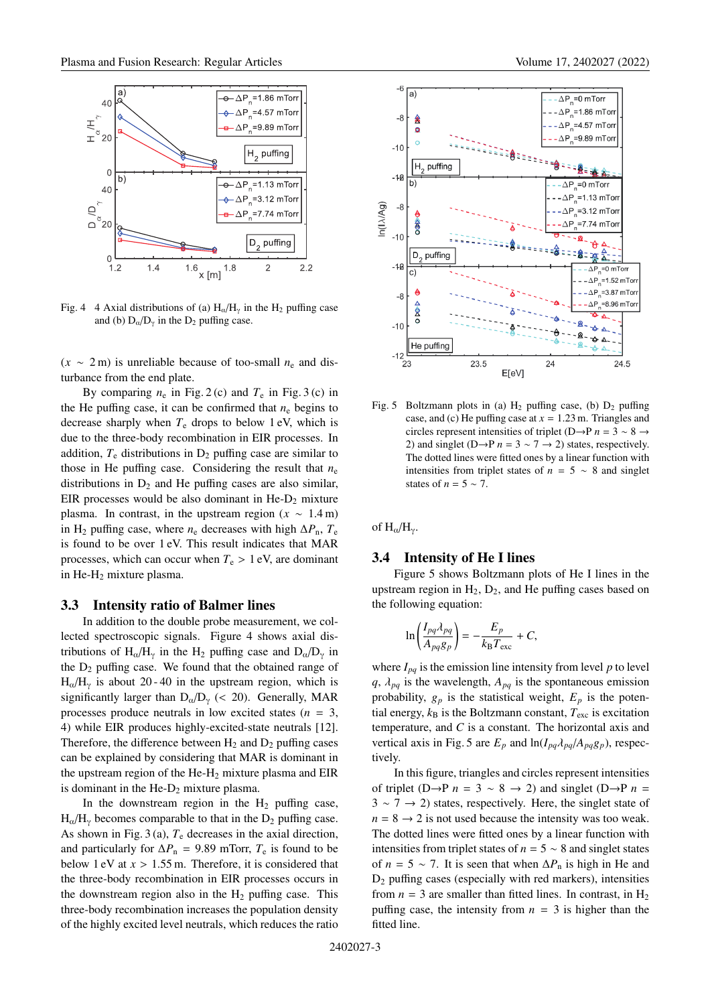

Fig. 4 4 Axial distributions of (a)  $H_{\alpha}/H_{\gamma}$  in the  $H_2$  puffing case and (b)  $D_{\alpha}/D_{\gamma}$  in the  $D_2$  puffing case.

 $(x \sim 2 \text{ m})$  is unreliable because of too-small  $n_e$  and disturbance from the end plate.

By comparing  $n_e$  in Fig. 2 (c) and  $T_e$  in Fig. 3 (c) in the He puffing case, it can be confirmed that  $n_e$  begins to decrease sharply when  $T_e$  drops to below 1 eV, which is due to the three-body recombination in EIR processes. In addition,  $T_e$  distributions in  $D_2$  puffing case are similar to those in He puffing case. Considering the result that  $n_e$ distributions in  $D_2$  and He puffing cases are also similar, EIR processes would be also dominant in  $He-D_2$  mixture plasma. In contrast, in the upstream region  $(x \sim 1.4 \text{ m})$ in H<sub>2</sub> puffing case, where  $n_e$  decreases with high  $\Delta P_n$ ,  $T_e$ is found to be over 1 eV. This result indicates that MAR processes, which can occur when  $T_e > 1$  eV, are dominant in He-H2 mixture plasma.

#### **3.3 Intensity ratio of Balmer lines**

In addition to the double probe measurement, we collected spectroscopic signals. Figure 4 shows axial distributions of H<sub>α</sub>/H<sub>γ</sub> in the H<sub>2</sub> puffing case and D<sub>α</sub>/D<sub>γ</sub> in the  $D_2$  puffing case. We found that the obtained range of  $H_{\alpha}/H_{\gamma}$  is about 20 - 40 in the upstream region, which is significantly larger than  $D_{\alpha}/D_{\gamma}$  (< 20). Generally, MAR processes produce neutrals in low excited states  $(n = 3,$ 4) while EIR produces highly-excited-state neutrals [12]. Therefore, the difference between  $H_2$  and  $D_2$  puffing cases can be explained by considering that MAR is dominant in the upstream region of the  $He-H<sub>2</sub>$  mixture plasma and EIR is dominant in the  $He-D_2$  mixture plasma.

In the downstream region in the  $H_2$  puffing case,  $H_{\alpha}/H_{\gamma}$  becomes comparable to that in the  $D_2$  puffing case. As shown in Fig.  $3(a)$ ,  $T_e$  decreases in the axial direction, and particularly for  $\Delta P_n$  = 9.89 mTorr,  $T_e$  is found to be below 1 eV at *x* > 1.55 m. Therefore, it is considered that the three-body recombination in EIR processes occurs in the downstream region also in the  $H_2$  puffing case. This three-body recombination increases the population density of the highly excited level neutrals, which reduces the ratio



Fig. 5 Boltzmann plots in (a)  $H_2$  puffing case, (b)  $D_2$  puffing case, and (c) He puffing case at *x* = 1.23 m. Triangles and circles represent intensities of triplet (D→P *n* = 3 ∼ 8 → 2) and singlet (D→P  $n = 3 \sim 7 \rightarrow 2$ ) states, respectively. The dotted lines were fitted ones by a linear function with intensities from triplet states of  $n = 5 \sim 8$  and singlet states of *n* =  $5 \sim 7$ .

of  $H_{\alpha}/H_{\gamma}$ .

#### **3.4 Intensity of He I lines**

Figure 5 shows Boltzmann plots of He I lines in the upstream region in  $H_2$ ,  $D_2$ , and He puffing cases based on the following equation:

$$
\ln\left(\frac{I_{pq}\lambda_{pq}}{A_{pq}g_p}\right) = -\frac{E_p}{k_B T_{\text{exc}}} + C,
$$

where  $I_{pq}$  is the emission line intensity from level  $p$  to level  $q$ ,  $\lambda_{pq}$  is the wavelength,  $A_{pq}$  is the spontaneous emission probability,  $g_p$  is the statistical weight,  $E_p$  is the potential energy,  $k_B$  is the Boltzmann constant,  $T_{\text{exc}}$  is excitation temperature, and *C* is a constant. The horizontal axis and vertical axis in Fig. 5 are  $E_p$  and  $\ln(I_{pq} \lambda_{pq} A_{pq} g_p)$ , respectively.

In this figure, triangles and circles represent intensities of triplet (D→P  $n = 3 \sim 8 \rightarrow 2$ ) and singlet (D→P  $n =$  $3 \sim 7 \rightarrow 2$ ) states, respectively. Here, the singlet state of  $n = 8 \rightarrow 2$  is not used because the intensity was too weak. The dotted lines were fitted ones by a linear function with intensities from triplet states of  $n = 5 \sim 8$  and singlet states of  $n = 5 \sim 7$ . It is seen that when  $\Delta P_n$  is high in He and  $D_2$  puffing cases (especially with red markers), intensities from  $n = 3$  are smaller than fitted lines. In contrast, in  $H_2$ puffing case, the intensity from  $n = 3$  is higher than the fitted line.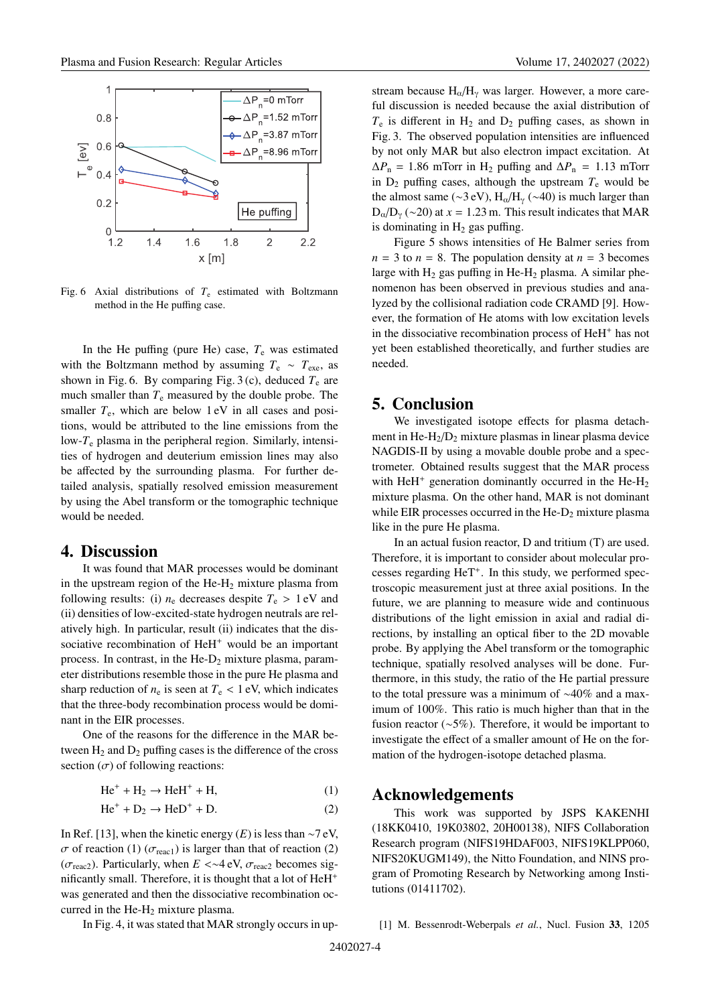

Fig. 6 Axial distributions of  $T_e$  estimated with Boltzmann method in the He puffing case.

In the He puffing (pure He) case,  $T_e$  was estimated with the Boltzmann method by assuming  $T_e \sim T_{\text{exe}}$ , as shown in Fig. 6. By comparing Fig. 3 (c), deduced  $T_e$  are much smaller than  $T_e$  measured by the double probe. The smaller  $T_e$ , which are below 1 eV in all cases and positions, would be attributed to the line emissions from the low-*T*<sup>e</sup> plasma in the peripheral region. Similarly, intensities of hydrogen and deuterium emission lines may also be affected by the surrounding plasma. For further detailed analysis, spatially resolved emission measurement by using the Abel transform or the tomographic technique would be needed.

## **4. Discussion**

It was found that MAR processes would be dominant in the upstream region of the  $He-H<sub>2</sub>$  mixture plasma from following results: (i)  $n_e$  decreases despite  $T_e > 1$  eV and (ii) densities of low-excited-state hydrogen neutrals are relatively high. In particular, result (ii) indicates that the dissociative recombination of HeH<sup>+</sup> would be an important process. In contrast, in the  $He-D_2$  mixture plasma, parameter distributions resemble those in the pure He plasma and sharp reduction of  $n_e$  is seen at  $T_e$  < 1 eV, which indicates that the three-body recombination process would be dominant in the EIR processes.

One of the reasons for the difference in the MAR between  $H_2$  and  $D_2$  puffing cases is the difference of the cross section  $(\sigma)$  of following reactions:

 $He^{+} + H_{2} \rightarrow HeH^{+} + H,$  (1)

$$
He^{+} + D_{2} \rightarrow HeD^{+} + D.
$$
 (2)

In Ref. [13], when the kinetic energy  $(E)$  is less than ∼7 eV, σ of reaction (1) ( $\sigma$ <sub>reac1</sub>) is larger than that of reaction (2) ( $\sigma_{\text{reac2}}$ ). Particularly, when  $E \ll 4$  eV,  $\sigma_{\text{reac2}}$  becomes significantly small. Therefore, it is thought that a lot of HeH<sup>+</sup> was generated and then the dissociative recombination occurred in the  $He-H<sub>2</sub>$  mixture plasma.

In Fig. 4, it was stated that MAR strongly occurs in up-

stream because  $H_{\alpha}/H_{\gamma}$  was larger. However, a more careful discussion is needed because the axial distribution of  $T_e$  is different in  $H_2$  and  $D_2$  puffing cases, as shown in Fig. 3. The observed population intensities are influenced by not only MAR but also electron impact excitation. At  $\Delta P_n = 1.86$  mTorr in H<sub>2</sub> puffing and  $\Delta P_n = 1.13$  mTorr in  $D_2$  puffing cases, although the upstream  $T_e$  would be the almost same (∼3 eV),  $H_0/H_v$  (∼40) is much larger than  $D_{\alpha}/D_{\gamma}$  (~20) at *x* = 1.23 m. This result indicates that MAR is dominating in  $H_2$  gas puffing.

Figure 5 shows intensities of He Balmer series from  $n = 3$  to  $n = 8$ . The population density at  $n = 3$  becomes large with  $H_2$  gas puffing in He- $H_2$  plasma. A similar phenomenon has been observed in previous studies and analyzed by the collisional radiation code CRAMD [9]. However, the formation of He atoms with low excitation levels in the dissociative recombination process of HeH<sup>+</sup> has not yet been established theoretically, and further studies are needed.

## **5. Conclusion**

We investigated isotope effects for plasma detachment in He- $H_2/D_2$  mixture plasmas in linear plasma device NAGDIS-II by using a movable double probe and a spectrometer. Obtained results suggest that the MAR process with HeH<sup>+</sup> generation dominantly occurred in the He-H<sub>2</sub> mixture plasma. On the other hand, MAR is not dominant while EIR processes occurred in the  $He-D_2$  mixture plasma like in the pure He plasma.

In an actual fusion reactor, D and tritium (T) are used. Therefore, it is important to consider about molecular processes regarding  $HeT^+$ . In this study, we performed spectroscopic measurement just at three axial positions. In the future, we are planning to measure wide and continuous distributions of the light emission in axial and radial directions, by installing an optical fiber to the 2D movable probe. By applying the Abel transform or the tomographic technique, spatially resolved analyses will be done. Furthermore, in this study, the ratio of the He partial pressure to the total pressure was a minimum of ∼40% and a maximum of 100%. This ratio is much higher than that in the fusion reactor (∼5%). Therefore, it would be important to investigate the effect of a smaller amount of He on the formation of the hydrogen-isotope detached plasma.

## **Acknowledgements**

This work was supported by JSPS KAKENHI (18KK0410, 19K03802, 20H00138), NIFS Collaboration Research program (NIFS19HDAF003, NIFS19KLPP060, NIFS20KUGM149), the Nitto Foundation, and NINS program of Promoting Research by Networking among Institutions (01411702).

<sup>[1]</sup> M. Bessenrodt-Weberpals *et al.*, Nucl. Fusion **33**, 1205